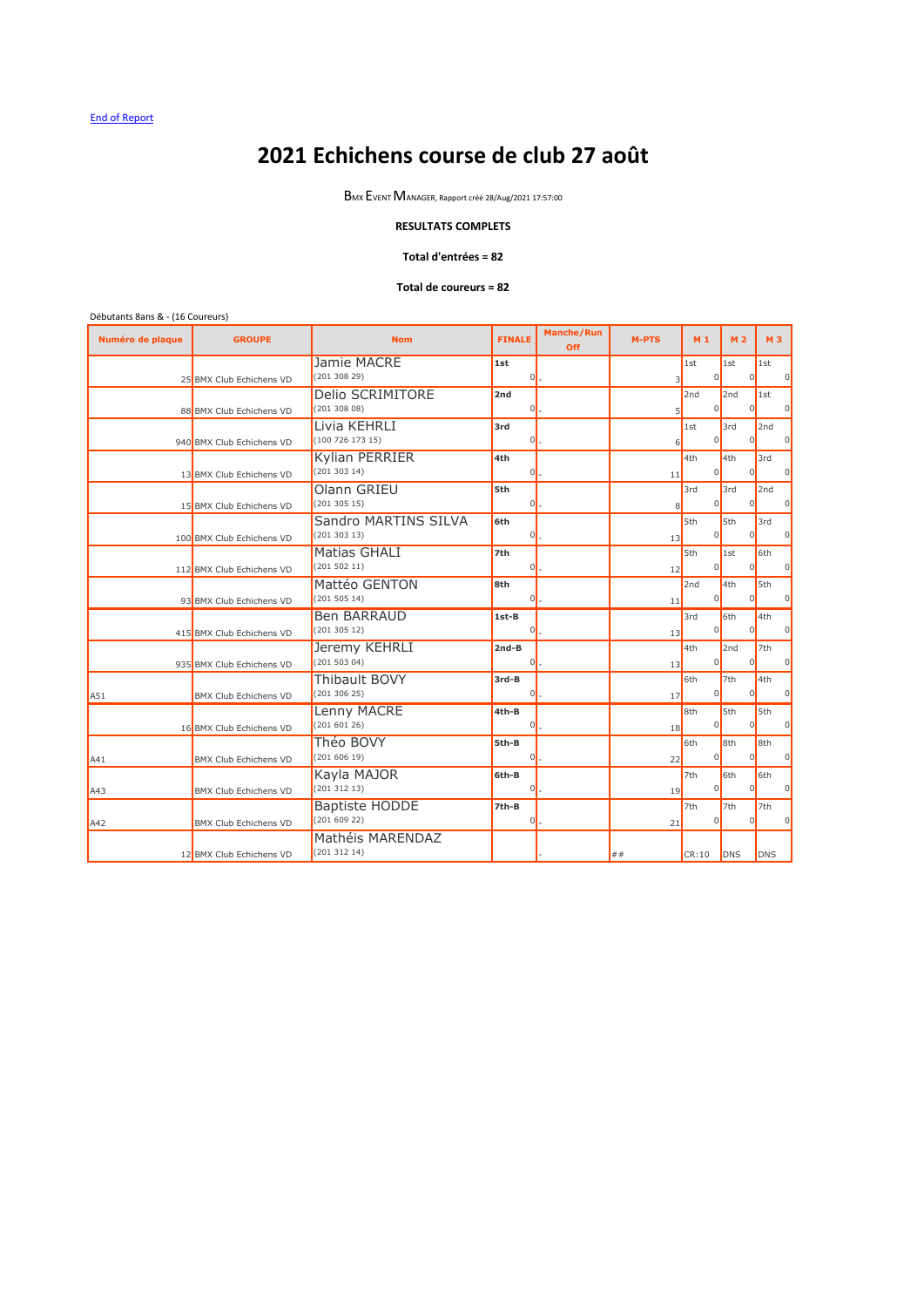End of Report

| Numéro de plaque | <b>GROUPE</b>                | <b>Nom</b>                            | <b>FINALE</b>   | <b>Manche/Run</b><br>Off | <b>M-PTS</b> | $M_1$                             | <b>M2</b>           | <b>M3</b>             |
|------------------|------------------------------|---------------------------------------|-----------------|--------------------------|--------------|-----------------------------------|---------------------|-----------------------|
|                  | 25 BMX Club Echichens VD     | <b>Jamie MACRE</b><br>(20130829)      | 1st<br>0        |                          | 3            | 1st                               | 1st                 | 1st                   |
|                  | 88 BMX Club Echichens VD     | <b>Delio SCRIMITORE</b><br>(20130808) | 2nd<br>C        |                          | 5            | 2nd                               | 2nd                 | 1st                   |
|                  | 940 BMX Club Echichens VD    | Livia KEHRLI<br>(10072617315)         | 3rd<br>$\cap$   |                          | 6            | 1st                               | 3rd                 | 2nd                   |
|                  | 13 BMX Club Echichens VD     | <b>Kylian PERRIER</b><br>(20130314)   | 4th<br>$\cap$   |                          | 11           | 4th                               | 4th                 | 3rd                   |
|                  | 15 BMX Club Echichens VD     | Olann GRIEU<br>(20130515)             | 5th             |                          | 8            | 3rd                               | 3rd                 | 2nd                   |
|                  | 100 BMX Club Echichens VD    | Sandro MARTINS SILVA<br>(20130313)    | 6th<br>C        |                          | 13           | 5th<br>$\Omega$                   | 5th                 | 3rd                   |
|                  | 112 BMX Club Echichens VD    | <b>Matias GHALI</b><br>(20150211)     | 7th<br>$\Omega$ |                          | 12           | 5th                               | 1st                 | 6th                   |
|                  | 93 BMX Club Echichens VD     | Mattéo GENTON<br>(20150514)           | 8th<br>$\Omega$ |                          | 11           | 2nd<br>$\Omega$                   | 4th                 | 5th                   |
|                  | 415 BMX Club Echichens VD    | <b>Ben BARRAUD</b><br>(20130512)      | $1st-B$         |                          | 13           | 3rd                               | 6th                 | 4th                   |
|                  | 935 BMX Club Echichens VD    | Jeremy KEHRLI<br>(20150304)           | $2nd-B$         |                          | 13           | 4th<br>$\Omega$                   | 2nd                 | 7th                   |
| A51              | <b>BMX Club Echichens VD</b> | <b>Thibault BOVY</b><br>(20130625)    | 3rd-B<br>C      |                          | 17           | 6 <sub>th</sub><br>$\overline{0}$ | 7th                 | 4th<br>0              |
|                  | 16 BMX Club Echichens VD     | Lenny MACRE<br>(201 601 26)           | 4th-B           |                          | 18           | 8th<br>ΩI                         | 5th                 | 5th                   |
| A41              | <b>BMX Club Echichens VD</b> | Théo BOVY<br>(201 606 19)             | 5th-B<br>C      |                          | 22           | 6th<br>$\Omega$                   | 8th                 | 8th                   |
| A43              | <b>BMX Club Echichens VD</b> | Kayla MAJOR<br>(20131213)             | 6th-B           | 0                        | 19           | 7th<br>$\mathbf{0}$               | 6th<br>$\mathbf{0}$ | 6th<br>$\overline{0}$ |
| A42              | <b>BMX Club Echichens VD</b> | <b>Baptiste HODDE</b><br>(20160922)   | 7th-B<br>0      |                          | 21           | 7th                               | 7th                 | 7th<br>0              |
|                  | 12 BMX Club Echichens VD     | Mathéis MARENDAZ<br>(201 312 14)      |                 |                          | $\# \,\#$    | CR:10                             | DNS                 | DNS                   |

## **2021 Echichens course de club 27 août**

BMX EVENT MANAGER, Rapport créé 28/Aug/2021 17:57:00

## **RESULTATS COMPLETS**

## **Total d'entrées = 82**

**Total de coureurs = 82**

Débutants 8ans & - (16 Coureurs)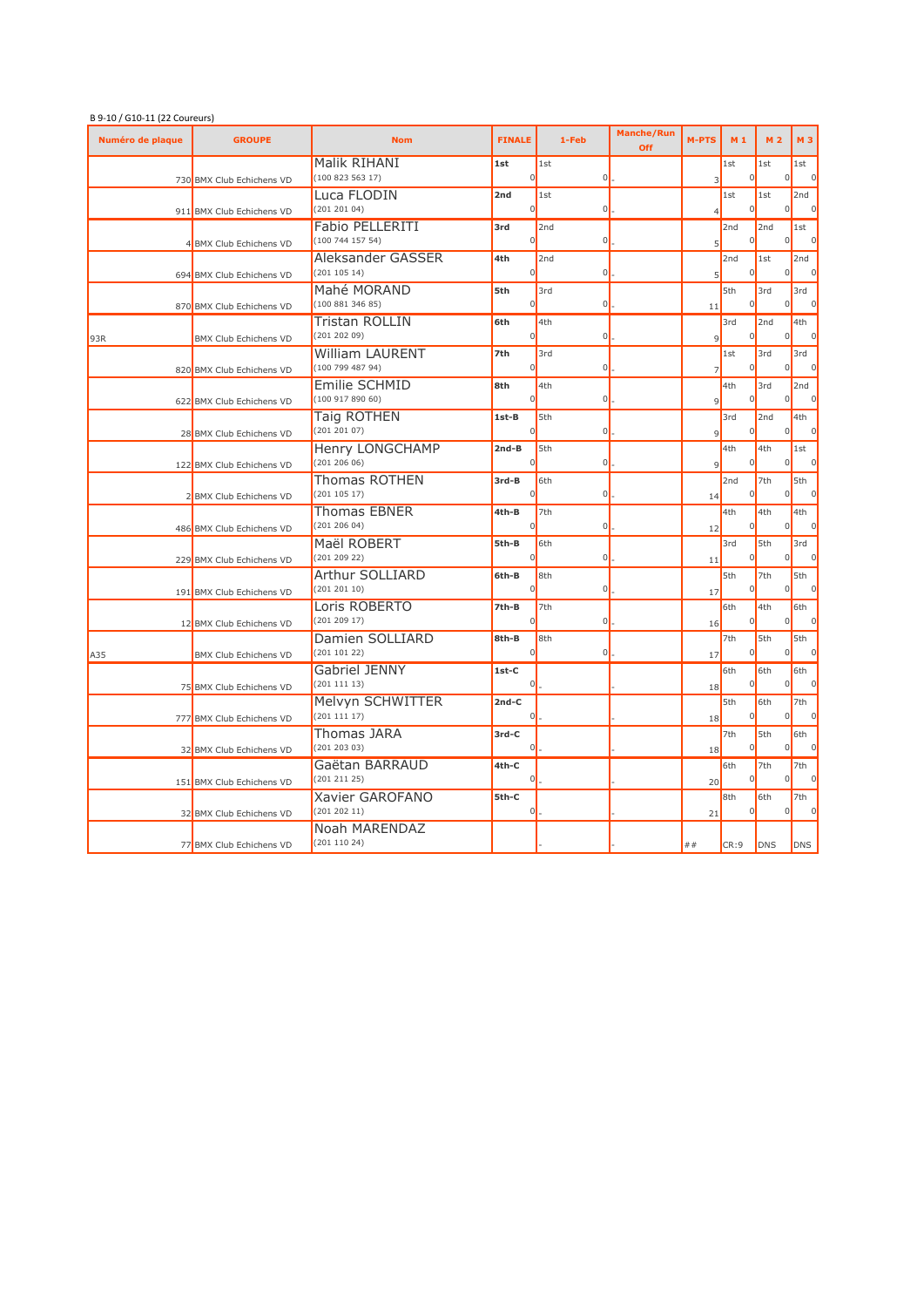| Numéro de plaque | <b>GROUPE</b>                | <b>Nom</b>                              | <b>FINALE</b>             | $1-Feb$               | <b>Manche/Run</b><br><b>Off</b> | <b>M-PTS</b> | $M_1$     | M <sub>2</sub>        | <b>M3</b>             |
|------------------|------------------------------|-----------------------------------------|---------------------------|-----------------------|---------------------------------|--------------|-----------|-----------------------|-----------------------|
|                  | 730 BMX Club Echichens VD    | <b>Malik RIHANI</b><br>(10082356317)    | 1st<br>U                  | 1st                   |                                 |              | 1st       | 1st                   | 1st<br>$\Omega$       |
|                  | 911 BMX Club Echichens VD    | Luca FLODIN<br>(201 201 04)             | 2nd<br>U                  | 1st                   |                                 |              | 1st       | 1st                   | 2nd<br>$\Omega$       |
|                  | 4 BMX Club Echichens VD      | <b>Fabio PELLERITI</b><br>(10074415754) | 3rd<br>U                  | 2nd                   |                                 |              | 2nd       | 2nd                   | 1st<br>$\Omega$       |
|                  | 694 BMX Club Echichens VD    | Aleksander GASSER<br>(20110514)         | 4th<br>U                  | 2nd                   |                                 |              | 2nd       | 1st                   | 2nd<br>$\Omega$       |
|                  | 870 BMX Club Echichens VD    | Mahé MORAND<br>(10088134685)            | 5th<br>U                  | 3rd                   |                                 | 11           | 5th       | 3rd                   | 3rd<br>$\Omega$       |
| 93R              | <b>BMX Club Echichens VD</b> | Tristan RÖLLIN<br>(201 202 09)          | 6th<br>U                  | 4th                   |                                 | 9            | 3rd       | 2nd                   | 4th<br>$\overline{0}$ |
|                  | 820 BMX Club Echichens VD    | <b>William LAURENT</b><br>(10079948794) | 7th                       | 3rd                   |                                 |              | 1st       | 3rd                   | 3rd                   |
|                  | 622 BMX Club Echichens VD    | Emilie SCHMID<br>(10091789060)          | 8th                       | 4th                   |                                 |              | 4th       | 3rd                   | 2nd<br>$\vert$ 0      |
|                  | 28 BMX Club Echichens VD     | Taig ROTHEN<br>(201 201 07)             | $1st-B$                   | 5th                   |                                 | $\mathsf{q}$ | 3rd       | 2nd                   | 4th<br>$\Omega$       |
|                  | 122 BMX Club Echichens VD    | Henry LONGCHAMP<br>(201 206 06)         | $2nd-B$<br>U              | 5th                   |                                 |              | 4th       | 4th                   | 1st<br>$\Omega$       |
|                  | 2 BMX Club Echichens VD      | <b>Thomas ROTHEN</b><br>(20110517)      | $3rd-B$                   | 6th                   |                                 | 14           | 2nd       | 7th<br>ΩI             | 5th<br> 0             |
|                  | 486 BMX Club Echichens VD    | <b>Thomas EBNER</b><br>(201 206 04)     | 4th-B                     | 7th                   |                                 | 12           | 4th       | 4th<br>ΩI             | 4th<br>$\Omega$       |
|                  | 229 BMX Club Echichens VD    | Maël ROBERT<br>(201 209 22)             | 5th-B                     | 6th                   |                                 | 11           | 3rd       | 5th                   | 3rd<br>$\overline{0}$ |
|                  | 191 BMX Club Echichens VD    | Arthur SOLLIARD<br>$(201\;201\;10)$     | 6th-B<br>$\mathbf{0}$     | 8th<br>$0$ -          |                                 | 17           | 5th<br> 0 | 7th<br>$\mathbf{0}$   | 5th<br> 0             |
|                  | 12 BMX Club Echichens VD     | Loris ROBERTO<br>(201 209 17)           | 7th-B                     | 7th<br>0              |                                 | 16           | 6th       | 4th                   | 6th<br>$\overline{0}$ |
| A35              | <b>BMX Club Echichens VD</b> | Damien SOLLIARD<br>(201 101 22)         | 8th-B<br>0                | 8th<br>$\overline{0}$ |                                 | 17           | 7th       | 5th                   | 5th<br>$\overline{0}$ |
|                  | 75 BMX Club Echichens VD     | <b>Gabriel JENNY</b><br>(20111113)      | $1st-C$<br>$\overline{0}$ |                       |                                 | 18           | 6th       | 6th                   | 6th<br>$\overline{0}$ |
|                  | 777 BMX Club Echichens VD    | Melvyn SCHWITTER<br>(20111117)          | $2nd-C$<br>$\overline{0}$ |                       |                                 | 18           | 5th       | 6th                   | 7th<br> 0             |
|                  | 32 BMX Club Echichens VD     | <b>Thomas JARA</b><br>(201 203 03)      | 3rd-C<br>$\overline{0}$   |                       |                                 | 18           | 7th       | 5th<br>$\overline{0}$ | 6th<br> 0             |
|                  | 151 BMX Club Echichens VD    | Gaëtan BARRAUD<br>(201 211 25)          | 4th-C<br>$\Omega$         |                       |                                 | 20           | 6th       | 7th<br>01             | 7th<br>$\overline{0}$ |
|                  | 32 BMX Club Echichens VD     | <b>Xavier GAROFANO</b><br>(201 202 11)  | 5th-C<br>$\overline{0}$   |                       |                                 | 21           | 8th       | 6th                   | 7th<br> 0             |
|                  | 77 BMX Club Echichens VD     | Noah MARENDAZ<br>(20111024)             |                           |                       |                                 | ##           | CR:9      | DNS                   | DNS                   |

| B 9-10 / G10-11 (22 Coureurs) |  |
|-------------------------------|--|
|-------------------------------|--|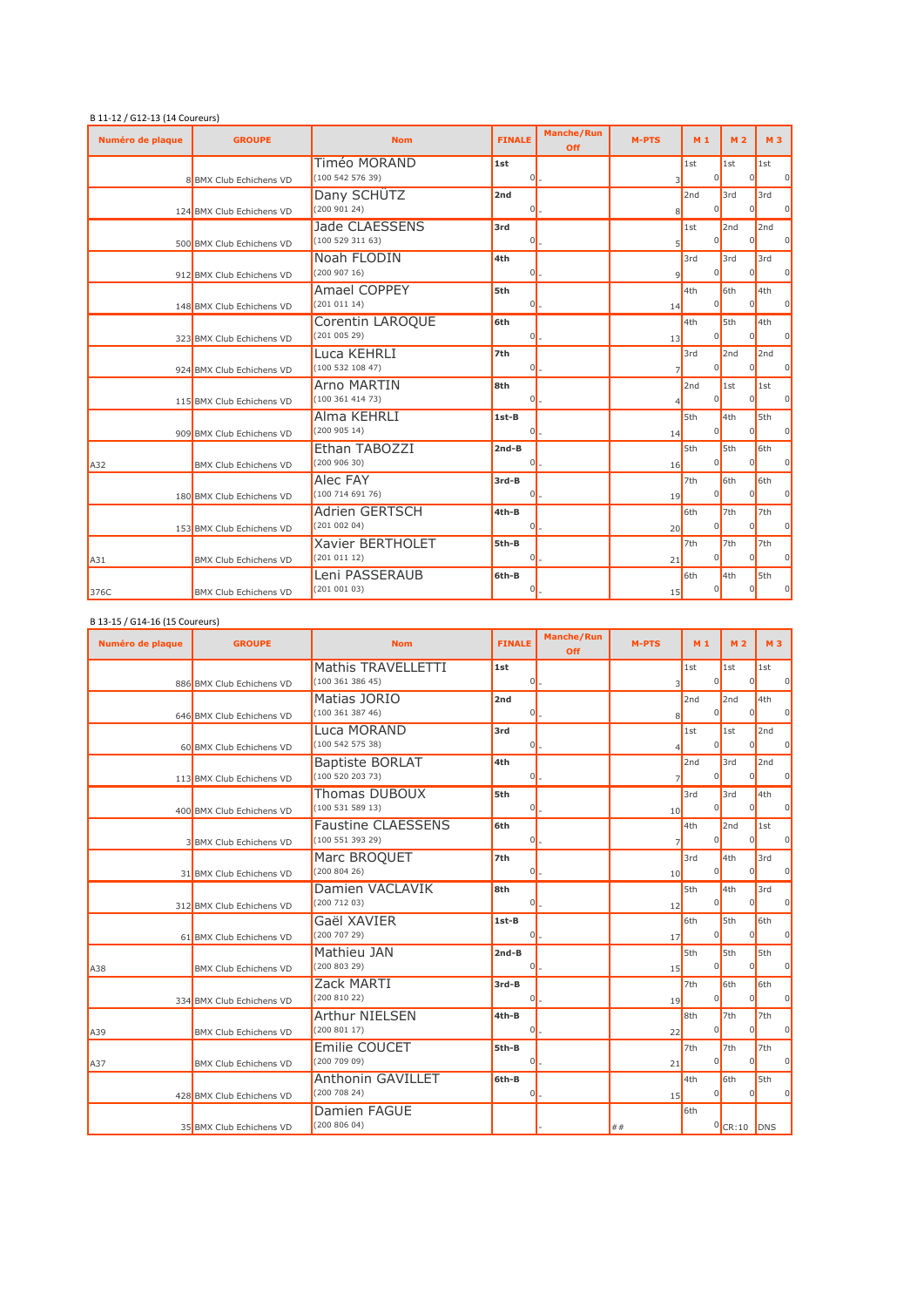| Numéro de plaque | <b>GROUPE</b>                | <b>Nom</b>                              | <b>FINALE</b> | <b>Manche/Run</b><br><b>Off</b> | M-PTS          | $M_1$    | M <sub>2</sub> | <b>M3</b> |
|------------------|------------------------------|-----------------------------------------|---------------|---------------------------------|----------------|----------|----------------|-----------|
|                  | 8 BMX Club Echichens VD      | <b>Timéo MORAND</b><br>(10054257639)    | 1st<br>n      |                                 | 3              | 1st      | 1st            | 1st       |
|                  | 124 BMX Club Echichens VD    | Dany SCHÜTZ<br>(20090124)               | 2nd<br>$\cap$ |                                 | 8              | 2nd<br>n | 3rd<br>O       | 3rd       |
|                  | 500 BMX Club Echichens VD    | <b>Jade CLAESSENS</b><br>(10052931163)  | 3rd<br>n      |                                 | $\overline{5}$ | 1st      | 2nd            | 2nd       |
|                  | 912 BMX Club Echichens VD    | Noah FLODIN<br>(20090716)               | 4th<br>n      |                                 | $\overline{9}$ | 3rd<br>n | 3rd<br>∩       | 3rd       |
|                  | 148 BMX Club Echichens VD    | <b>Amael COPPEY</b><br>(201 011 14)     | 5th<br>$\cap$ |                                 | 14             | 4th<br>n | 6th            | 4th       |
|                  | 323 BMX Club Echichens VD    | <b>Corentin LAROQUE</b><br>(20100529)   | 6th<br>n      |                                 | 13             | 4th<br>n | 5th<br>U       | 4th       |
|                  | 924 BMX Club Echichens VD    | Luca KEHRLI<br>(10053210847)            | 7th<br>C      |                                 |                | 3rd      | 2nd            | 2nd       |
|                  | 115 BMX Club Echichens VD    | <b>Arno MARTIN</b><br>(10036141473)     | 8th           |                                 |                | 2nd      | 1st            | 1st       |
|                  | 909 BMX Club Echichens VD    | Alma KEHRLI<br>(20090514)               | $1st-B$       |                                 | 14             | 5th      | 4th            | 5th       |
| A32              | <b>BMX Club Echichens VD</b> | Ethan TABOZZI<br>(20090630)             | $2nd-B$       |                                 | 16             | 5th      | 5th            | 6th       |
|                  | 180 BMX Club Echichens VD    | <b>Alec FAY</b><br>(10071469176)        | $3rd-B$       |                                 | 19             | 7th      | 6th            | 6th       |
|                  | 153 BMX Club Echichens VD    | <b>Adrien GERTSCH</b><br>(20100204)     | 4th-B         |                                 | 20             | 6th      | 7th            | 7th       |
| A31              | <b>BMX Club Echichens VD</b> | <b>Xavier BERTHOLET</b><br>(201 011 12) | 5th-B<br>C    |                                 | 21             | 7th      | 7th            | 7th       |
| 376C             | <b>BMX Club Echichens VD</b> | Leni PASSERAUB<br>(20100103)            | 6th-B         |                                 | 15             | 6th      | 4th            | 5th       |

| Numéro de plaque | <b>GROUPE</b>                | <b>Nom</b>                            | <b>FINALE</b>  | <b>Manche/Run</b><br>Off | <b>M-PTS</b> | $M_1$ | M <sub>2</sub> | <b>M3</b>                         |
|------------------|------------------------------|---------------------------------------|----------------|--------------------------|--------------|-------|----------------|-----------------------------------|
|                  |                              | <b>Mathis TRAVELLETTI</b>             | 1st            |                          |              | 1st   | 1st            | 1st                               |
|                  | 886 BMX Club Echichens VD    | (10036138645)                         |                |                          |              |       |                | $\overline{0}$                    |
|                  |                              | Matias JORIO                          | 2nd            |                          |              | 2nd   | 2nd            | 4th                               |
|                  | 646 BMX Club Echichens VD    | (100 361 387 46)                      | $\Omega$       |                          | 8            |       |                | $\overline{0}$                    |
|                  |                              | Luca MORAND                           | 3rd            |                          |              | 1st   | 1st            | 2nd                               |
|                  | 60 BMX Club Echichens VD     | (10054257538)                         | $\Omega$       |                          |              |       | U              | $\overline{0}$                    |
|                  |                              | <b>Baptiste BORLAT</b>                | 4th            |                          |              | 2nd   | 3rd            | 2nd                               |
|                  | 113 BMX Club Echichens VD    | (10052020373)                         | $\overline{0}$ |                          |              |       |                | $\overline{0}$                    |
|                  |                              | <b>Thomas DUBOUX</b>                  | 5th            |                          |              | 3rd   | 3rd            | 4th                               |
|                  | 400 BMX Club Echichens VD    | (100 531 589 13)                      | $\overline{0}$ |                          | 10           | ∩     |                | $\overline{0}$                    |
|                  |                              | <b>Faustine CLAESSENS</b>             | 6th            |                          |              | 4th   | 2nd            | 1st                               |
|                  | 3 BMX Club Echichens VD      | (100 551 393 29)                      | $\overline{0}$ |                          |              |       | U              | $\overline{0}$                    |
|                  |                              | Marc BROQUET                          | 7th            |                          |              | 3rd   | 4th            | 3rd                               |
|                  | 31 BMX Club Echichens VD     | (20080426)                            | $\mathbf{0}$   |                          | 10           |       |                | $\overline{0}$                    |
|                  |                              | Damien VACLAVIK                       | 8th            |                          |              | 5th   | 4th            | 3rd                               |
|                  | 312 BMX Club Echichens VD    | (200 712 03)                          | $\overline{0}$ |                          | 12           |       |                | $\overline{0}$                    |
|                  |                              | Gaël XAVIER                           | $1st-B$        |                          |              | 6th   | 5th            | 6 <sub>th</sub>                   |
|                  | 61 BMX Club Echichens VD     | (200 707 29)                          |                |                          | 17           | ΩI    | ΩI             | $\overline{0}$                    |
|                  |                              | Mathieu JAN                           | $2nd-B$        |                          |              | 5th   | 5th            | 5th                               |
| A38              | <b>BMX Club Echichens VD</b> | (200 803 29)                          | $\overline{0}$ |                          | 15           |       |                | $\overline{0}$                    |
|                  |                              | <b>Zack MARTI</b>                     | $3rd-B$        |                          |              | 7th   | 6th            | 6 <sub>th</sub>                   |
|                  |                              | (200 810 22)                          | $\overline{0}$ |                          |              | ΩI    | 0              | $\overline{0}$                    |
|                  | 334 BMX Club Echichens VD    |                                       |                |                          | 19           |       | 7th            |                                   |
|                  |                              | <b>Arthur NIELSEN</b><br>(200 801 17) | 4th-B          |                          |              | 8th   |                | 7 <sub>th</sub><br>$\overline{0}$ |
| A39              | <b>BMX Club Echichens VD</b> |                                       |                |                          | 22           |       |                |                                   |
|                  |                              | <b>Emilie COUCET</b>                  | 5th-B          |                          |              | 7th   | 7th            | 7 <sub>th</sub>                   |
| A37              | <b>BMX Club Echichens VD</b> | (20070909)                            | $\overline{0}$ |                          | 21           |       |                | $\overline{0}$                    |
|                  |                              | <b>Anthonin GAVILLET</b>              | 6th-B          |                          |              | 4th   | 6th            | 5th                               |
|                  | 428 BMX Club Echichens VD    | (20070824)                            | $\overline{0}$ |                          | 15           |       |                | $\overline{0}$                    |
|                  |                              | <b>Damien FAGUE</b>                   |                |                          |              | 6th   |                |                                   |
|                  | 35 BMX Club Echichens VD     | (200 806 04)                          |                |                          | ##           |       | $0$ CR:10 DNS  |                                   |

## B 13-15 / G14-16 (15 Coureurs)

|  |  | B 11-12 / G12-13 (14 Coureurs) |
|--|--|--------------------------------|
|--|--|--------------------------------|